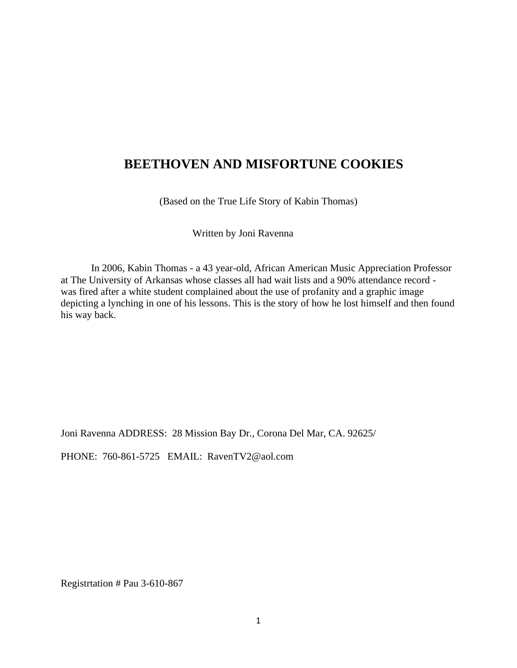### **BEETHOVEN AND MISFORTUNE COOKIES**

(Based on the True Life Story of Kabin Thomas)

Written by Joni Ravenna

In 2006, Kabin Thomas - a 43 year-old, African American Music Appreciation Professor at The University of Arkansas whose classes all had wait lists and a 90% attendance record was fired after a white student complained about the use of profanity and a graphic image depicting a lynching in one of his lessons. This is the story of how he lost himself and then found his way back.

Joni Ravenna ADDRESS: 28 Mission Bay Dr., Corona Del Mar, CA. 92625/

PHONE: 760-861-5725 EMAIL: RavenTV2@aol.com

Registrtation # Pau 3-610-867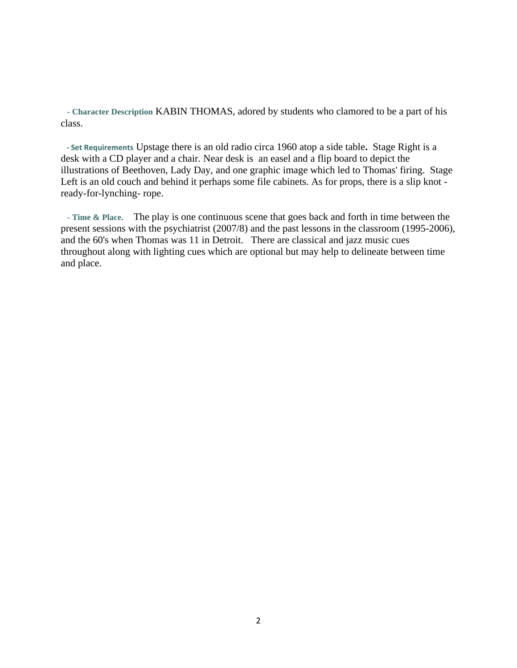**- Character Description** KABIN THOMAS, adored by students who clamored to be a part of his class.

 **- Set Requirements** Upstage there is an old radio circa 1960 atop a side table**.** Stage Right is a desk with a CD player and a chair. Near desk is an easel and a flip board to depict the illustrations of Beethoven, Lady Day, and one graphic image which led to Thomas' firing. Stage Left is an old couch and behind it perhaps some file cabinets. As for props, there is a slip knot ready-for-lynching- rope.

**- Time & Place.** The play is one continuous scene that goes back and forth in time between the present sessions with the psychiatrist (2007/8) and the past lessons in the classroom (1995-2006), and the 60's when Thomas was 11 in Detroit. There are classical and jazz music cues throughout along with lighting cues which are optional but may help to delineate between time and place.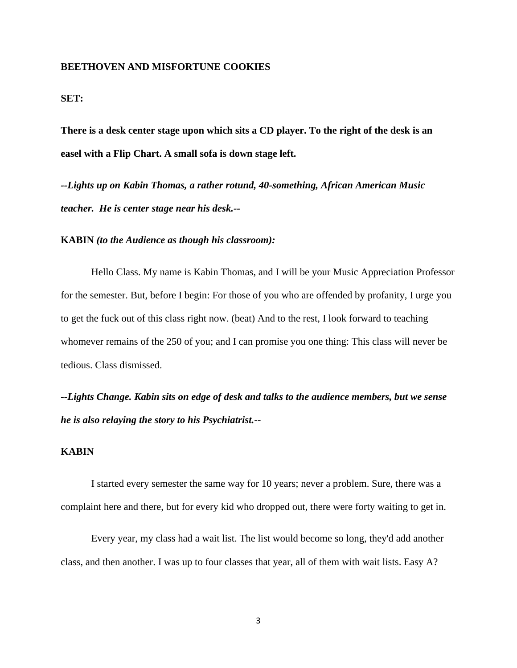#### **BEETHOVEN AND MISFORTUNE COOKIES**

#### **SET:**

**There is a desk center stage upon which sits a CD player. To the right of the desk is an easel with a Flip Chart. A small sofa is down stage left.** 

*--Lights up on Kabin Thomas, a rather rotund, 40-something, African American Music teacher. He is center stage near his desk.--* 

#### **KABIN** *(to the Audience as though his classroom):*

Hello Class. My name is Kabin Thomas, and I will be your Music Appreciation Professor for the semester. But, before I begin: For those of you who are offended by profanity, I urge you to get the fuck out of this class right now. (beat) And to the rest, I look forward to teaching whomever remains of the 250 of you; and I can promise you one thing: This class will never be tedious. Class dismissed.

*--Lights Change. Kabin sits on edge of desk and talks to the audience members, but we sense he is also relaying the story to his Psychiatrist.--* 

#### **KABIN**

I started every semester the same way for 10 years; never a problem. Sure, there was a complaint here and there, but for every kid who dropped out, there were forty waiting to get in.

Every year, my class had a wait list. The list would become so long, they'd add another class, and then another. I was up to four classes that year, all of them with wait lists. Easy A?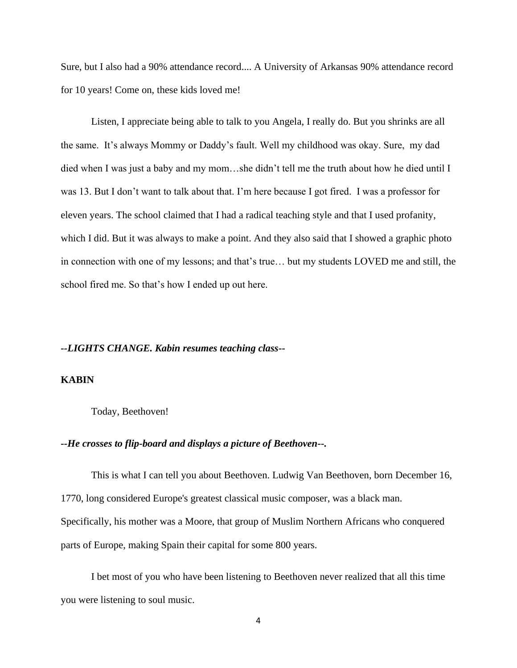Sure, but I also had a 90% attendance record.... A University of Arkansas 90% attendance record for 10 years! Come on, these kids loved me!

Listen, I appreciate being able to talk to you Angela, I really do. But you shrinks are all the same. It's always Mommy or Daddy's fault. Well my childhood was okay. Sure, my dad died when I was just a baby and my mom…she didn't tell me the truth about how he died until I was 13. But I don't want to talk about that. I'm here because I got fired. I was a professor for eleven years. The school claimed that I had a radical teaching style and that I used profanity, which I did. But it was always to make a point. And they also said that I showed a graphic photo in connection with one of my lessons; and that's true… but my students LOVED me and still, the school fired me. So that's how I ended up out here.

#### *--LIGHTS CHANGE. Kabin resumes teaching class--*

#### **KABIN**

#### Today, Beethoven!

#### *--He crosses to flip-board and displays a picture of Beethoven--.*

This is what I can tell you about Beethoven. Ludwig Van Beethoven, born December 16, 1770, long considered Europe's greatest classical music composer, was a black man. Specifically, his mother was a Moore, that group of Muslim Northern Africans who conquered parts of Europe, making Spain their capital for some 800 years.

I bet most of you who have been listening to Beethoven never realized that all this time you were listening to soul music.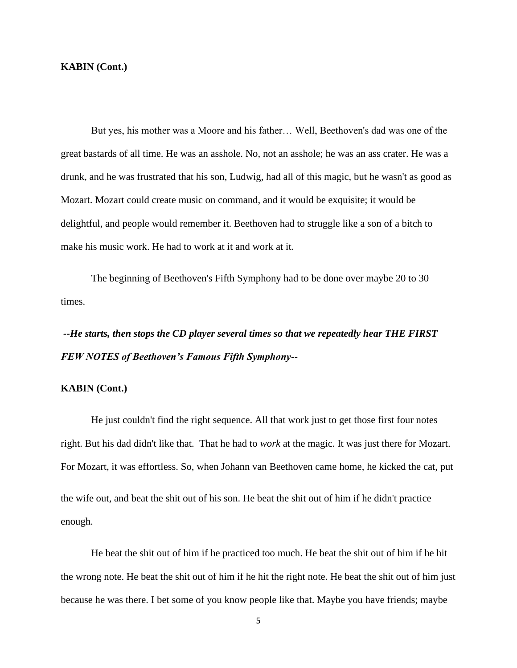#### **KABIN (Cont.)**

But yes, his mother was a Moore and his father… Well, Beethoven's dad was one of the great bastards of all time. He was an asshole. No, not an asshole; he was an ass crater. He was a drunk, and he was frustrated that his son, Ludwig, had all of this magic, but he wasn't as good as Mozart. Mozart could create music on command, and it would be exquisite; it would be delightful, and people would remember it. Beethoven had to struggle like a son of a bitch to make his music work. He had to work at it and work at it.

The beginning of Beethoven's Fifth Symphony had to be done over maybe 20 to 30 times.

*--He starts, then stops the CD player several times so that we repeatedly hear THE FIRST FEW NOTES of Beethoven's Famous Fifth Symphony***--**

#### **KABIN (Cont.)**

He just couldn't find the right sequence. All that work just to get those first four notes right. But his dad didn't like that. That he had to *work* at the magic. It was just there for Mozart. For Mozart, it was effortless. So, when Johann van Beethoven came home, he kicked the cat, put the wife out, and beat the shit out of his son. He beat the shit out of him if he didn't practice enough.

He beat the shit out of him if he practiced too much. He beat the shit out of him if he hit the wrong note. He beat the shit out of him if he hit the right note. He beat the shit out of him just because he was there. I bet some of you know people like that. Maybe you have friends; maybe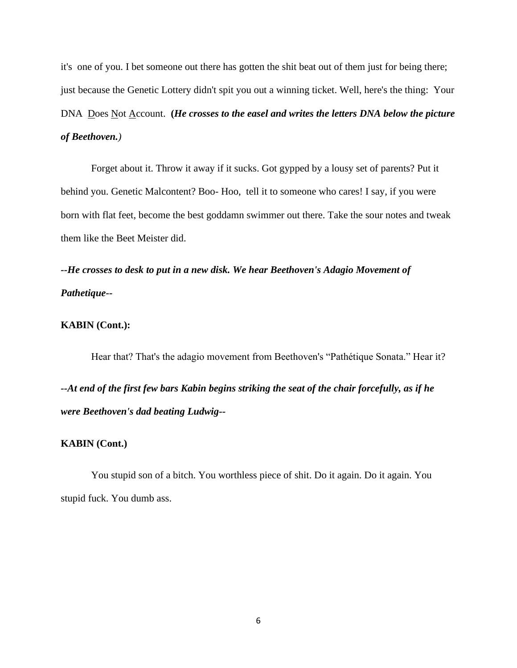it's one of you. I bet someone out there has gotten the shit beat out of them just for being there; just because the Genetic Lottery didn't spit you out a winning ticket. Well, here's the thing: Your DNA <u>Does Not Account.</u> (*He crosses to the easel and writes the letters DNA below the picture of Beethoven.)*

Forget about it. Throw it away if it sucks. Got gypped by a lousy set of parents? Put it behind you. Genetic Malcontent? Boo- Hoo, tell it to someone who cares! I say, if you were born with flat feet, become the best goddamn swimmer out there. Take the sour notes and tweak them like the Beet Meister did.

*--He crosses to desk to put in a new disk. We hear Beethoven's Adagio Movement of Pathetique--*

#### **KABIN (Cont.):**

Hear that? That's the adagio movement from Beethoven's "Pathétique Sonata." Hear it? *--At end of the first few bars Kabin begins striking the seat of the chair forcefully, as if he were Beethoven's dad beating Ludwig--*

#### **KABIN (Cont.)**

You stupid son of a bitch. You worthless piece of shit. Do it again. Do it again. You stupid fuck. You dumb ass.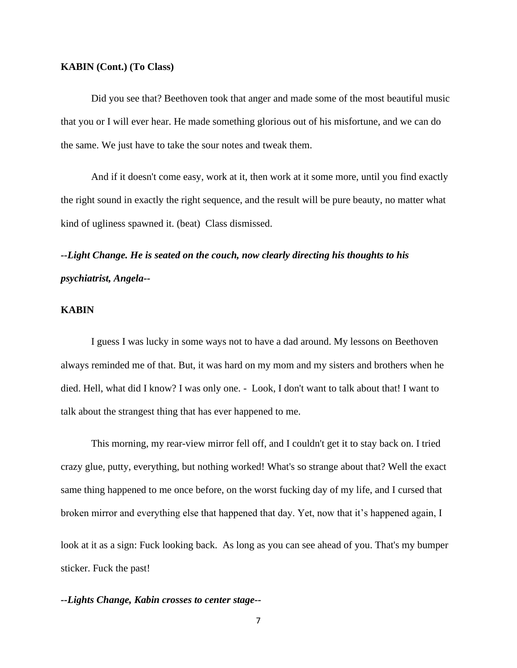#### **KABIN (Cont.) (To Class)**

Did you see that? Beethoven took that anger and made some of the most beautiful music that you or I will ever hear. He made something glorious out of his misfortune, and we can do the same. We just have to take the sour notes and tweak them.

And if it doesn't come easy, work at it, then work at it some more, until you find exactly the right sound in exactly the right sequence, and the result will be pure beauty, no matter what kind of ugliness spawned it. (beat) Class dismissed.

## *--Light Change. He is seated on the couch, now clearly directing his thoughts to his psychiatrist, Angela--*

#### **KABIN**

I guess I was lucky in some ways not to have a dad around. My lessons on Beethoven always reminded me of that. But, it was hard on my mom and my sisters and brothers when he died. Hell, what did I know? I was only one. - Look, I don't want to talk about that! I want to talk about the strangest thing that has ever happened to me.

This morning, my rear-view mirror fell off, and I couldn't get it to stay back on. I tried crazy glue, putty, everything, but nothing worked! What's so strange about that? Well the exact same thing happened to me once before, on the worst fucking day of my life, and I cursed that broken mirror and everything else that happened that day. Yet, now that it's happened again, I look at it as a sign: Fuck looking back. As long as you can see ahead of you. That's my bumper sticker. Fuck the past!

#### *--Lights Change, Kabin crosses to center stage--*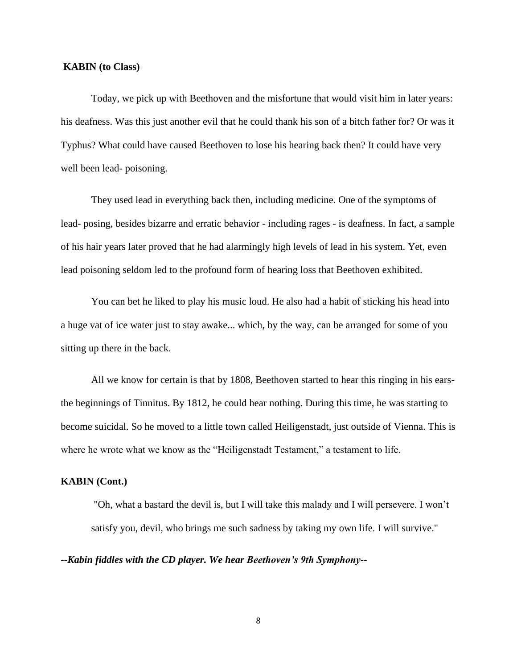#### **KABIN (to Class)**

Today, we pick up with Beethoven and the misfortune that would visit him in later years: his deafness. Was this just another evil that he could thank his son of a bitch father for? Or was it Typhus? What could have caused Beethoven to lose his hearing back then? It could have very well been lead- poisoning.

They used lead in everything back then, including medicine. One of the symptoms of lead- posing, besides bizarre and erratic behavior - including rages - is deafness. In fact, a sample of his hair years later proved that he had alarmingly high levels of lead in his system. Yet, even lead poisoning seldom led to the profound form of hearing loss that Beethoven exhibited.

You can bet he liked to play his music loud. He also had a habit of sticking his head into a huge vat of ice water just to stay awake... which, by the way, can be arranged for some of you sitting up there in the back.

All we know for certain is that by 1808, Beethoven started to hear this ringing in his earsthe beginnings of Tinnitus. By 1812, he could hear nothing. During this time, he was starting to become suicidal. So he moved to a little town called Heiligenstadt, just outside of Vienna. This is where he wrote what we know as the "Heiligenstadt Testament," a testament to life.

#### **KABIN (Cont.)**

 "Oh, what a bastard the devil is, but I will take this malady and I will persevere. I won't satisfy you, devil, who brings me such sadness by taking my own life. I will survive."

#### *--Kabin fiddles with the CD player. We hear Beethoven's 9th Symphony--*

8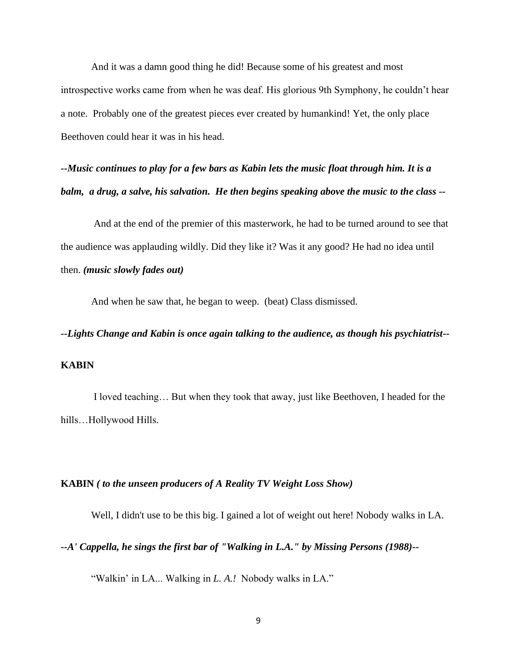And it was a damn good thing he did! Because some of his greatest and most introspective works came from when he was deaf. His glorious 9th Symphony, he couldn't hear a note. Probably one of the greatest pieces ever created by humankind! Yet, the only place Beethoven could hear it was in his head.

*--Music continues to play for a few bars as Kabin lets the music float through him. It is a balm, a drug, a salve, his salvation. He then begins speaking above the music to the class --*

And at the end of the premier of this masterwork, he had to be turned around to see that the audience was applauding wildly. Did they like it? Was it any good? He had no idea until then. *(music slowly fades out)*

And when he saw that, he began to weep. (beat) Class dismissed.

# *--Lights Change and Kabin is once again talking to the audience, as though his psychiatrist--*  **KABIN**

I loved teaching… But when they took that away, just like Beethoven, I headed for the hills…Hollywood Hills.

#### **KABIN** *( to the unseen producers of A Reality TV Weight Loss Show)*

Well, I didn't use to be this big. I gained a lot of weight out here! Nobody walks in LA.

#### *--A' Cappella, he sings the first bar of "Walking in L.A." by Missing Persons (1988)--*

"Walkin' in LA... Walking in *L. A.!* Nobody walks in LA."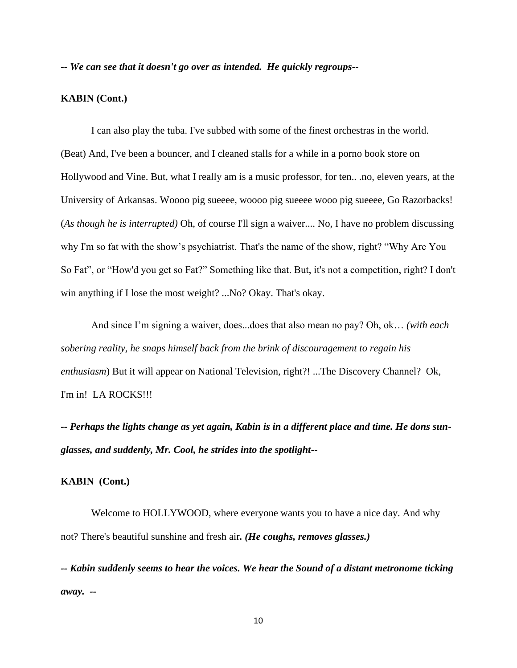*-- We can see that it doesn't go over as intended. He quickly regroups--*

#### **KABIN (Cont.)**

I can also play the tuba. I've subbed with some of the finest orchestras in the world. (Beat) And, I've been a bouncer, and I cleaned stalls for a while in a porno book store on Hollywood and Vine. But, what I really am is a music professor, for ten.. .no, eleven years, at the University of Arkansas. Woooo pig sueeee, woooo pig sueeee wooo pig sueeee, Go Razorbacks! (*As though he is interrupted)* Oh, of course I'll sign a waiver.... No, I have no problem discussing why I'm so fat with the show's psychiatrist. That's the name of the show, right? "Why Are You So Fat", or "How'd you get so Fat?" Something like that. But, it's not a competition, right? I don't win anything if I lose the most weight? ...No? Okay. That's okay.

And since I'm signing a waiver, does...does that also mean no pay? Oh, ok… *(with each sobering reality, he snaps himself back from the brink of discouragement to regain his enthusiasm*) But it will appear on National Television, right?! ...The Discovery Channel? Ok, I'm in! LA ROCKS!!!

*-- Perhaps the lights change as yet again, Kabin is in a different place and time. He dons sunglasses, and suddenly, Mr. Cool, he strides into the spotlight--*

#### **KABIN (Cont.)**

Welcome to HOLLYWOOD, where everyone wants you to have a nice day. And why not? There's beautiful sunshine and fresh air*. (He coughs, removes glasses.)* 

*-- Kabin suddenly seems to hear the voices. We hear the Sound of a distant metronome ticking away. --*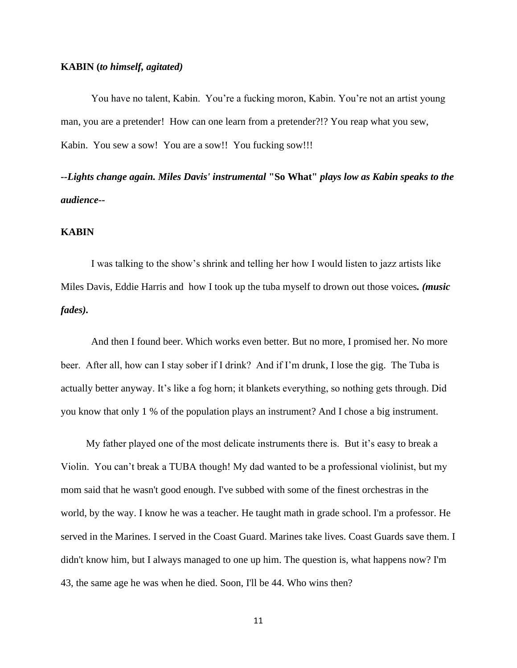#### **KABIN (***to himself, agitated)*

You have no talent, Kabin. You're a fucking moron, Kabin. You're not an artist young man, you are a pretender! How can one learn from a pretender?!? You reap what you sew, Kabin. You sew a sow! You are a sow!! You fucking sow!!!

*--Lights change again. Miles Davis' instrumental* **"So What"** *plays low as Kabin speaks to the audience--*

#### **KABIN**

I was talking to the show's shrink and telling her how I would listen to jazz artists like Miles Davis, Eddie Harris and how I took up the tuba myself to drown out those voices*. (music fades).*

And then I found beer. Which works even better. But no more, I promised her. No more beer. After all, how can I stay sober if I drink? And if I'm drunk, I lose the gig. The Tuba is actually better anyway. It's like a fog horn; it blankets everything, so nothing gets through. Did you know that only 1 % of the population plays an instrument? And I chose a big instrument.

 My father played one of the most delicate instruments there is. But it's easy to break a Violin. You can't break a TUBA though! My dad wanted to be a professional violinist, but my mom said that he wasn't good enough. I've subbed with some of the finest orchestras in the world, by the way. I know he was a teacher. He taught math in grade school. I'm a professor. He served in the Marines. I served in the Coast Guard. Marines take lives. Coast Guards save them. I didn't know him, but I always managed to one up him. The question is, what happens now? I'm 43, the same age he was when he died. Soon, I'll be 44. Who wins then?

11